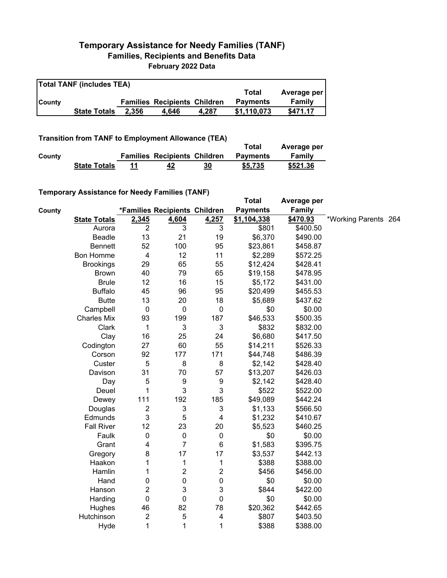## **Temporary Assistance for Needy Families (TANF) Families, Recipients and Benefits Data February 2022 Data**

| <b>Total TANF (includes TEA)</b> |                     |       |                                     |       |                 |             |  |
|----------------------------------|---------------------|-------|-------------------------------------|-------|-----------------|-------------|--|
|                                  |                     |       |                                     |       | Total           | Average per |  |
| <b>County</b>                    |                     |       | <b>Families Recipients Children</b> |       | <b>Payments</b> | Family      |  |
|                                  | <b>State Totals</b> | 2.356 | 4.646                               | 4.287 | \$1.110.073     | \$471.17    |  |

## **Transition from TANF to Employment Allowance (TEA)**

|        | <b>Transition from TANF to Employment Allowance (TEA)</b> | Total | Average per                         |    |                 |          |
|--------|-----------------------------------------------------------|-------|-------------------------------------|----|-----------------|----------|
| County |                                                           |       | <b>Families Recipients Children</b> |    | <b>Payments</b> | Family   |
|        | <b>State Totals</b>                                       | 11    | 42                                  | 30 | \$5.735         | \$521.36 |

## **Temporary Assistance for Needy Families (TANF)**

|        | $1$ chiporury Abbiblianoc for Nobely Familico (TANT) |                         |                               |                  | <b>Total</b>    | Average per   |                      |  |
|--------|------------------------------------------------------|-------------------------|-------------------------------|------------------|-----------------|---------------|----------------------|--|
| County |                                                      |                         | *Families Recipients Children |                  | <b>Payments</b> | <b>Family</b> |                      |  |
|        | <b>State Totals</b>                                  | 2,345                   | 4,604                         | 4,257            | \$1,104,338     | \$470.93      | *Working Parents 264 |  |
|        | Aurora                                               | $\overline{2}$          | 3                             | 3                | \$801           | \$400.50      |                      |  |
|        | <b>Beadle</b>                                        | 13                      | 21                            | 19               | \$6,370         | \$490.00      |                      |  |
|        | <b>Bennett</b>                                       | 52                      | 100                           | 95               | \$23,861        | \$458.87      |                      |  |
|        | <b>Bon Homme</b>                                     | 4                       | 12                            | 11               | \$2,289         | \$572.25      |                      |  |
|        | <b>Brookings</b>                                     | 29                      | 65                            | 55               | \$12,424        | \$428.41      |                      |  |
|        | <b>Brown</b>                                         | 40                      | 79                            | 65               | \$19,158        | \$478.95      |                      |  |
|        | <b>Brule</b>                                         | 12                      | 16                            | 15               | \$5,172         | \$431.00      |                      |  |
|        | <b>Buffalo</b>                                       | 45                      | 96                            | 95               | \$20,499        | \$455.53      |                      |  |
|        | <b>Butte</b>                                         | 13                      | 20                            | 18               | \$5,689         | \$437.62      |                      |  |
|        | Campbell                                             | 0                       | 0                             | $\pmb{0}$        | \$0             | \$0.00        |                      |  |
|        | <b>Charles Mix</b>                                   | 93                      | 199                           | 187              | \$46,533        | \$500.35      |                      |  |
|        | Clark                                                | 1                       | 3                             | 3                | \$832           | \$832.00      |                      |  |
|        | Clay                                                 | 16                      | 25                            | 24               | \$6,680         | \$417.50      |                      |  |
|        | Codington                                            | 27                      | 60                            | 55               | \$14,211        | \$526.33      |                      |  |
|        | Corson                                               | 92                      | 177                           | 171              | \$44,748        | \$486.39      |                      |  |
|        | Custer                                               | 5                       | 8                             | 8                | \$2,142         | \$428.40      |                      |  |
|        | Davison                                              | 31                      | 70                            | 57               | \$13,207        | \$426.03      |                      |  |
|        | Day                                                  | 5                       | 9                             | $\boldsymbol{9}$ | \$2,142         | \$428.40      |                      |  |
|        | Deuel                                                | 1                       | 3                             | 3                | \$522           | \$522.00      |                      |  |
|        | Dewey                                                | 111                     | 192                           | 185              | \$49,089        | \$442.24      |                      |  |
|        | Douglas                                              | $\overline{c}$          | $\ensuremath{\mathsf{3}}$     | 3                | \$1,133         | \$566.50      |                      |  |
|        | Edmunds                                              | 3                       | 5                             | 4                | \$1,232         | \$410.67      |                      |  |
|        | <b>Fall River</b>                                    | 12                      | 23                            | 20               | \$5,523         | \$460.25      |                      |  |
|        | Faulk                                                | 0                       | $\pmb{0}$                     | $\pmb{0}$        | \$0             | \$0.00        |                      |  |
|        | Grant                                                | 4                       | 7                             | 6                | \$1,583         | \$395.75      |                      |  |
|        | Gregory                                              | 8                       | 17                            | 17               | \$3,537         | \$442.13      |                      |  |
|        | Haakon                                               | 1                       | 1                             | 1                | \$388           | \$388.00      |                      |  |
|        | Hamlin                                               | 1                       | $\overline{\mathbf{c}}$       | 2                | \$456           | \$456.00      |                      |  |
|        | Hand                                                 | 0                       | $\boldsymbol{0}$              | 0                | \$0             | \$0.00        |                      |  |
|        | Hanson                                               | $\overline{c}$          | 3                             | 3                | \$844           | \$422.00      |                      |  |
|        | Harding                                              | 0                       | 0                             | 0                | \$0             | \$0.00        |                      |  |
|        | Hughes                                               | 46                      | 82                            | 78               | \$20,362        | \$442.65      |                      |  |
|        | Hutchinson                                           | $\overline{\mathbf{c}}$ | 5                             | 4                | \$807           | \$403.50      |                      |  |
|        | Hyde                                                 | 1                       | 1                             | 1                | \$388           | \$388.00      |                      |  |